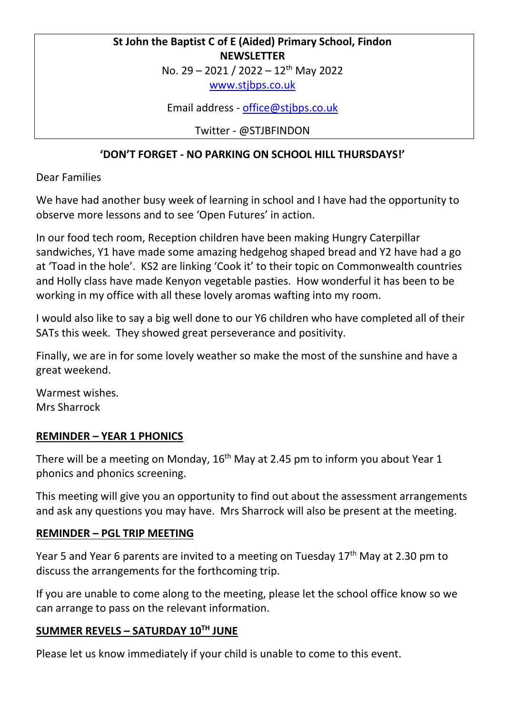# **St John the Baptist C of E (Aided) Primary School, Findon NEWSLETTER**

No. 29 – 2021 / 2022 – 12th May 2022

[www.stjbps.co.uk](http://www.stjbps.co.uk/)

Email address - [office@stjbps.co.uk](mailto:office@stjbps.co.uk)

Twitter - @STJBFINDON

### **'DON'T FORGET - NO PARKING ON SCHOOL HILL THURSDAYS!'**

Dear Families

We have had another busy week of learning in school and I have had the opportunity to observe more lessons and to see 'Open Futures' in action.

In our food tech room, Reception children have been making Hungry Caterpillar sandwiches, Y1 have made some amazing hedgehog shaped bread and Y2 have had a go at 'Toad in the hole'. KS2 are linking 'Cook it' to their topic on Commonwealth countries and Holly class have made Kenyon vegetable pasties. How wonderful it has been to be working in my office with all these lovely aromas wafting into my room.

I would also like to say a big well done to our Y6 children who have completed all of their SATs this week. They showed great perseverance and positivity.

Finally, we are in for some lovely weather so make the most of the sunshine and have a great weekend.

Warmest wishes. Mrs Sharrock

#### **REMINDER – YEAR 1 PHONICS**

There will be a meeting on Monday,  $16<sup>th</sup>$  May at 2.45 pm to inform you about Year 1 phonics and phonics screening.

This meeting will give you an opportunity to find out about the assessment arrangements and ask any questions you may have. Mrs Sharrock will also be present at the meeting.

#### **REMINDER – PGL TRIP MEETING**

Year 5 and Year 6 parents are invited to a meeting on Tuesday 17<sup>th</sup> May at 2.30 pm to discuss the arrangements for the forthcoming trip.

If you are unable to come along to the meeting, please let the school office know so we can arrange to pass on the relevant information.

#### **SUMMER REVELS – SATURDAY 10TH JUNE**

Please let us know immediately if your child is unable to come to this event.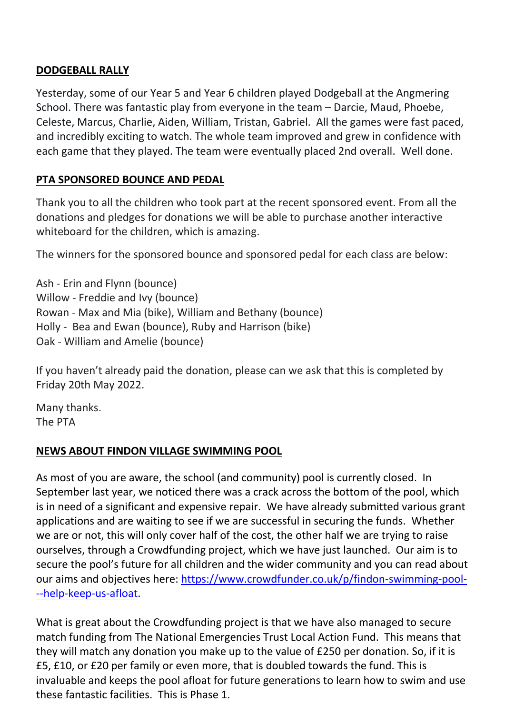### **DODGEBALL RALLY**

Yesterday, some of our Year 5 and Year 6 children played Dodgeball at the Angmering School. There was fantastic play from everyone in the team – Darcie, Maud, Phoebe, Celeste, Marcus, Charlie, Aiden, William, Tristan, Gabriel. All the games were fast paced, and incredibly exciting to watch. The whole team improved and grew in confidence with each game that they played. The team were eventually placed 2nd overall. Well done.

## **PTA SPONSORED BOUNCE AND PEDAL**

Thank you to all the children who took part at the recent sponsored event. From all the donations and pledges for donations we will be able to purchase another interactive whiteboard for the children, which is amazing.

The winners for the sponsored bounce and sponsored pedal for each class are below:

Ash - Erin and Flynn (bounce) Willow - Freddie and Ivy (bounce) Rowan - Max and Mia (bike), William and Bethany (bounce) Holly - Bea and Ewan (bounce), Ruby and Harrison (bike) Oak - William and Amelie (bounce)

If you haven't already paid the donation, please can we ask that this is completed by Friday 20th May 2022.

Many thanks. The PTA

## **NEWS ABOUT FINDON VILLAGE SWIMMING POOL**

As most of you are aware, the school (and community) pool is currently closed. In September last year, we noticed there was a crack across the bottom of the pool, which is in need of a significant and expensive repair. We have already submitted various grant applications and are waiting to see if we are successful in securing the funds. Whether we are or not, this will only cover half of the cost, the other half we are trying to raise ourselves, through a Crowdfunding project, which we have just launched. Our aim is to secure the pool's future for all children and the wider community and you can read about our aims and objectives here: [https://www.crowdfunder.co.uk/p/findon-swimming-pool-](https://www.crowdfunder.co.uk/p/findon-swimming-pool---help-keep-us-afloat) [--help-keep-us-afloat.](https://www.crowdfunder.co.uk/p/findon-swimming-pool---help-keep-us-afloat)

What is great about the Crowdfunding project is that we have also managed to secure match funding from The National Emergencies Trust Local Action Fund. This means that they will match any donation you make up to the value of £250 per donation. So, if it is £5, £10, or £20 per family or even more, that is doubled towards the fund. This is invaluable and keeps the pool afloat for future generations to learn how to swim and use these fantastic facilities. This is Phase 1.